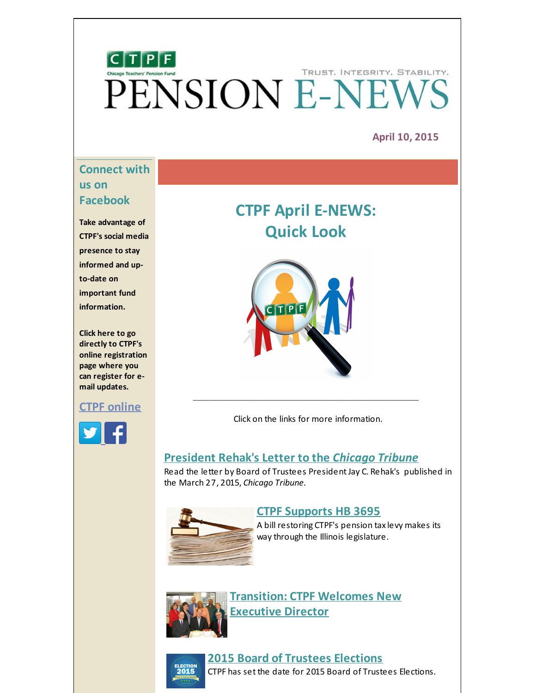# $[C]T[P]F]$ TRUST. INTEGRITY. STABILITY. PENSION E-NEW

## **April 10, 2015**

# **Connect with us on Facebook**

**Take advantage of CTPF's social media presence to stay informed and upto-date on important fund information.**

**Click here to go directly to CTPF's online registration page where you can register for email updates.**

## **CTPF [online](http://r20.rs6.net/tn.jsp?f=001oHUNPV8vNQNIoC76hO23FT0ybOZkkDQIJVatSTNMuOJeN2K_GW_SoLPjR1ncQx4ZC-5BQ8vnIFCJoqlHGinggpRMCtduzFcvbRQSSDTDXcVi-z1p_M412HVYUbBnUF6g4cWMkaLo_7zyYcNdz5-NAnNOXoi32gGTSO7fTRy7A1Q6sMANYEM5PV443tY42kZ5AmrXXyvIxNs=&c=&ch=)**



# **CTPF April E-NEWS: Quick Look**



Click on the links for more information.

\_\_\_\_\_\_\_\_\_\_\_\_\_\_\_\_\_\_\_\_\_\_\_\_\_\_\_\_\_\_\_\_\_\_\_\_\_\_\_\_\_\_\_\_\_\_\_\_\_\_\_\_\_\_\_\_

# **[President](#page-1-0) Rehak's Letter to the** *Chicago Tribune*

Read the letter by Board of Trustees President Jay C. Rehak's published in the March 27, 2015, *Chicago Tribune.*



## **CTPF [Supports](#page-2-0) HB 3695**

A bill restoring CTPF's pension tax levy makes its way through the Illinois legislature.



**[Transition:](#page-3-0) CTPF Welcomes New Executive Director**



# **2015 Board of Trustees [Elections](#page-4-0)**

CTPF has set the date for 2015 Board of Trustees Elections.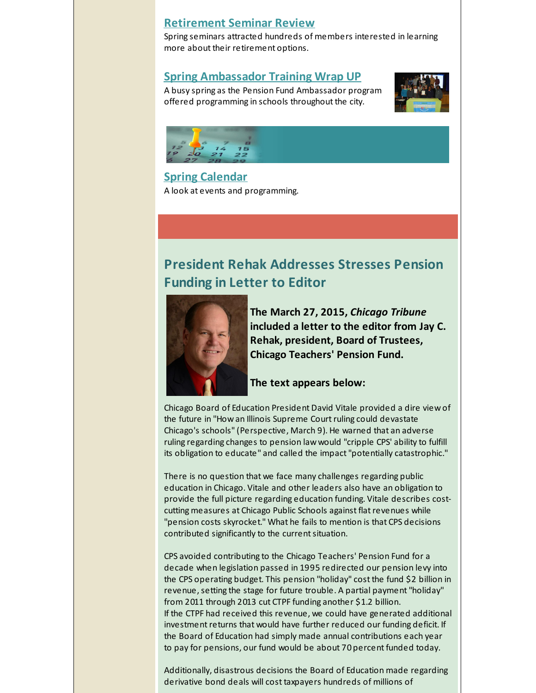# **[Retirement](#page-4-1) Seminar Review**

Spring seminars attracted hundreds of members interested in learning more about their retirement options.

## **Spring [Ambassador](#page-5-0) Training Wrap UP**

A busy spring as the Pension Fund Ambassador program offered programming in schools throughout the city.





**Spring [Calendar](#page-7-0)** A look at events and programming.

# <span id="page-1-0"></span>**President Rehak Addresses Stresses Pension Funding in Letter to Editor**



**The March 27, 2015,** *Chicago Tribune* **included a letter to the editor from Jay C. Rehak, president, Board of Trustees, Chicago Teachers' Pension Fund.**

#### **The text appears below:**

Chicago Board of Education President David Vitale provided a dire view of the future in "How an Illinois Supreme Court ruling could devastate Chicago's schools"(Perspective, March 9). He warned that an adverse ruling regarding changes to pension law would "cripple CPS' ability to fulfill its obligation to educate" and called the impact"potentially catastrophic."

There is no question that we face many challenges regarding public education in Chicago. Vitale and other leaders also have an obligation to provide the full picture regarding education funding. Vitale describes costcutting measures at Chicago Public Schools against flatrevenues while "pension costs skyrocket." What he fails to mention is that CPS decisions contributed significantly to the current situation.

CPS avoided contributing to the Chicago Teachers' Pension Fund for a decade when legislation passed in 1995 redirected our pension levy into the CPS operating budget. This pension "holiday" cost the fund \$2 billion in revenue, setting the stage for future trouble. A partial payment "holiday" from 2011 through 2013 cut CTPF funding another \$1.2 billion. If the CTPF had received this revenue, we could have generated additional investment returns that would have further reduced our funding deficit. If the Board of Education had simply made annual contributions each year to pay for pensions, our fund would be about 70 percent funded today.

Additionally, disastrous decisions the Board of Education made regarding derivative bond deals will cost taxpayers hundreds of millions of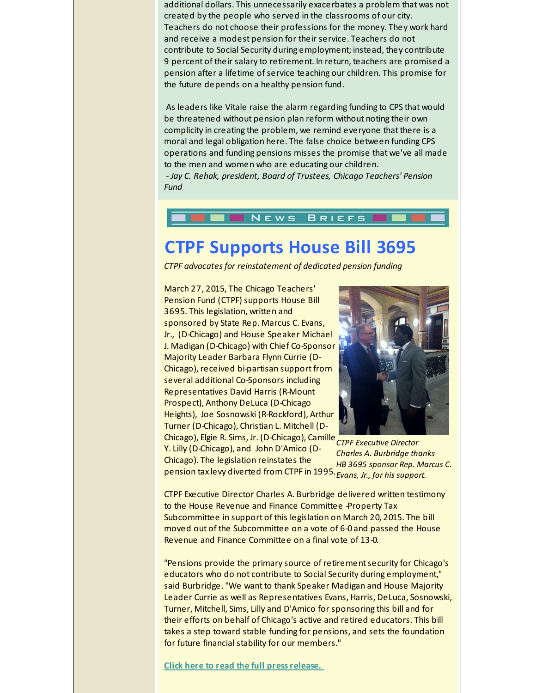additional dollars. This unnecessarily exacerbates a problem that was not created by the people who served in the classrooms of our city. Teachers do not choose their professions for the money. They work hard and receive a modest pension for their service. Teachers do not contribute to Social Security during employment; instead, they contribute 9 percent of their salary to retirement. In return, teachers are promised a pension after a lifetime of service teaching our children. This promise for the future depends on a healthy pension fund.

As leaders like Vitale raise the alarm regarding funding to CPS that would be threatened without pension plan reform without noting their own complicity in creating the problem, we remind everyone that there is a moral and legal obligation here. The false choice between funding CPS operations and funding pensions misses the promise that we've all made to the men and women who are educating our children. *- Jay C. Rehak, president, Board of Trustees, Chicago Teachers' Pension Fund*

#### NEWS **BRIEFS**

# <span id="page-2-0"></span>**CTPF Supports House Bill 3695**

*CTPF advocatesfor reinstatement of dedicated pension funding*

March 27, 2015, The Chicago Teachers' Pension Fund (CTPF) supports House Bill 3695. This legislation, written and sponsored by State Rep. Marcus C. Evans, Jr., (D-Chicago) and House Speaker Michael J. Madigan (D-Chicago) with Chief Co-Sponsor Majority Leader Barbara Flynn Currie (D-Chicago), received bi-partisan support from several additional Co-Sponsors including Representatives David Harris (R-Mount Prospect), Anthony DeLuca (D-Chicago Heights), Joe Sosnowski (R-Rockford), Arthur Turner (D-Chicago), Christian L. Mitchell (D-



*CTPF Executive Director* Chicago), Elgie R. Sims, Jr. (D-Chicago), Camille *Evans, Jr., for his support.* pension tax levy diverted from CTPF in 1995. Y. Lilly (D-Chicago), and John D'Amico (D-Chicago). The legislation reinstates the

*Charles A. Burbridge thanks HB 3695 sponsor Rep. Marcus C.*

CTPF Executive Director Charles A. Burbridge delivered written testimony to the House Revenue and Finance Committee -Property Tax Subcommittee in support of this legislation on March 20, 2015. The bill moved out of the Subcommittee on a vote of 6-0 and passed the House Revenue and Finance Committee on a final vote of 13-0.

"Pensions provide the primary source of retirement security for Chicago's educators who do not contribute to Social Security during employment," said Burbridge."We want to thank Speaker Madigan and House Majority Leader Currie as well as Representatives Evans, Harris, DeLuca, Sosnowski, Turner, Mitchell, Sims, Lilly and D'Amico for sponsoring this bill and for their efforts on behalf of Chicago's active and retired educators. This bill takes a step toward stable funding for pensions, and sets the foundation for future financial stability for our members."

**Click here to read the full [pressrelease.](http://r20.rs6.net/tn.jsp?f=001oHUNPV8vNQNIoC76hO23FT0ybOZkkDQIJVatSTNMuOJeN2K_GW_SoBW746j0-xtEDjEk2GOXn5spafajyeeNiyieLxXNDxzpi7RMoZIXw6CEQhXUc9cEDziH4kxV50mBc5YFTLchVg77Fb4ujq6BGByK0xWGrTurUrWWMzPsKSwm01nScm9y7Ie4FQK2iKFyPApBgNxpQOXk3p_n1wfZFAW2JnvPxUcQSKyMyMBRrnM=&c=&ch=)**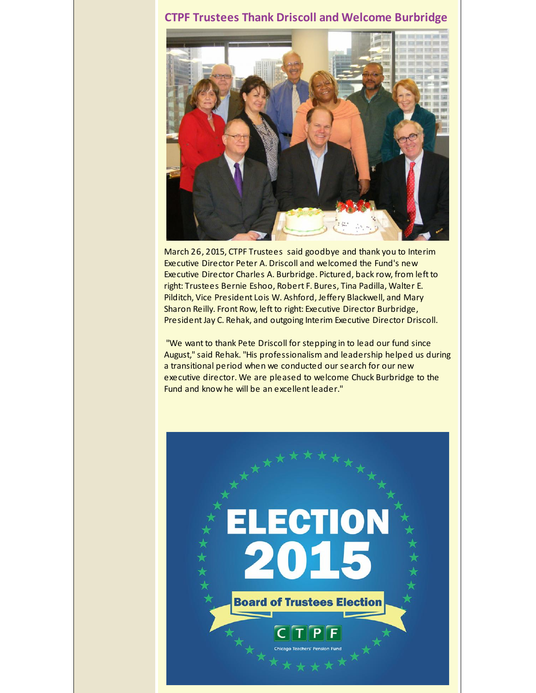# <span id="page-3-0"></span>**CTPF Trustees Thank Driscoll and Welcome Burbridge**



March 26, 2015, CTPF Trustees said goodbye and thank you to Interim Executive Director Peter A. Driscoll and welcomed the Fund's new Executive Director Charles A. Burbridge. Pictured, back row, from left to right: Trustees Bernie Eshoo, Robert F. Bures, Tina Padilla, Walter E. Pilditch, Vice President Lois W. Ashford, Jeffery Blackwell, and Mary Sharon Reilly. Front Row, left to right: Executive Director Burbridge, President Jay C. Rehak, and outgoing Interim Executive Director Driscoll.

"We want to thank Pete Driscoll for stepping in to lead our fund since August,"said Rehak."His professionalism and leadership helped us during a transitional period when we conducted our search for our new executive director. We are pleased to welcome Chuck Burbridge to the Fund and know he will be an excellent leader."

# **ELECTION** 2015 **Board of Trustees Election**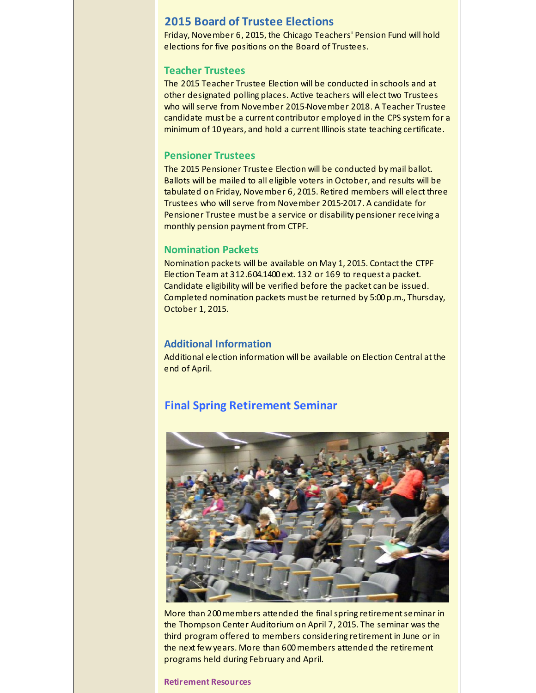## <span id="page-4-0"></span>**2015 Board of Trustee Elections**

Friday, November 6, 2015, the Chicago Teachers' Pension Fund will hold elections for five positions on the Board of Trustees.

#### **Teacher Trustees**

The 2015 Teacher Trustee Election will be conducted in schools and at other designated polling places. Active teachers will elect two Trustees who will serve from November 2015-November 2018. A Teacher Trustee candidate must be a current contributor employed in the CPS system for a minimum of 10 years, and hold a current Illinois state teaching certificate.

#### **Pensioner Trustees**

The 2015 Pensioner Trustee Election will be conducted by mail ballot. Ballots will be mailed to all eligible voters in October, and results will be tabulated on Friday, November 6, 2015. Retired members will elect three Trustees who will serve from November 2015-2017. A candidate for Pensioner Trustee must be a service or disability pensioner receiving a monthly pension payment from CTPF.

#### **Nomination Packets**

Nomination packets will be available on May 1, 2015. Contact the CTPF Election Team at 312.604.1400 ext. 132 or 169 to request a packet. Candidate eligibility will be verified before the packet can be issued. Completed nomination packets must be returned by 5:00 p.m., Thursday, October 1, 2015.

#### **Additional Information**

Additional election information will be available on Election Central at the end of April.

## <span id="page-4-1"></span>**Final Spring Retirement Seminar**



More than 200 members attended the final spring retirement seminar in the Thompson Center Auditorium on April 7, 2015. The seminar was the third program offered to members considering retirement in June or in the next few years. More than 600members attended the retirement programs held during February and April.

#### **Retirement Resources**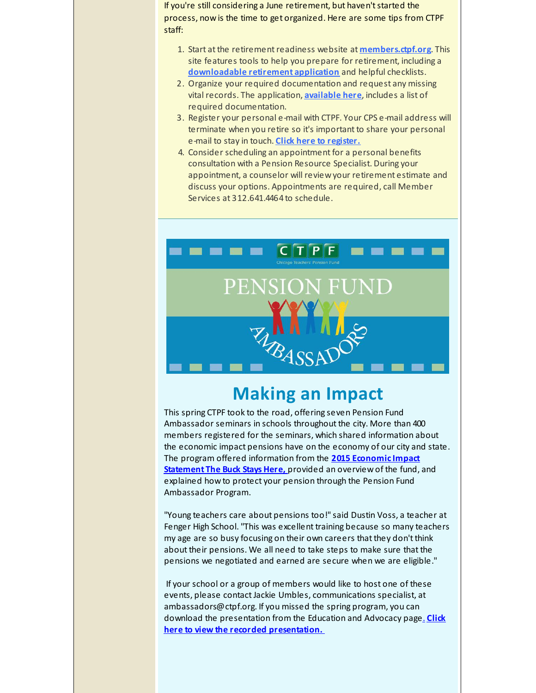If you're still considering a June retirement, but haven't started the process, now is the time to get organized. Here are some tips from CTPF staff:

- 1. Start at the retirementreadiness website at **[members.ctpf.org](http://r20.rs6.net/tn.jsp?f=001oHUNPV8vNQNIoC76hO23FT0ybOZkkDQIJVatSTNMuOJeN2K_GW_SoPwroByxnZrUZvmgj_keZSfA17ReCiLkGvqicJtMX1tzzkAtYiZ64bv5deLJSmV2h5S2b6x4joN-LjkXHeTIN_OZ63AFtQVYdn3jNNbguJM4Tl23TiaZ11w=&c=&ch=)**. This site features tools to help you prepare for retirement, including a **[downloadable](http://r20.rs6.net/tn.jsp?f=001oHUNPV8vNQNIoC76hO23FT0ybOZkkDQIJVatSTNMuOJeN2K_GW_SoBG145IFq7b03TZ7BG3Hgd_fFKujwwPwk2BDpz-nvH9_KK2tUEIJGlX0kL9ywWJWoKgmbCm4DWkJNg6JCSgc7XhqYd8FUv9FNRzZX0_2SdPzyMY6k5woMuPrL0adHZxTDk-EXJEPof-SMxYQcr1JY7fvi8cA82PkTqOLVUJm7bCZ_QuzY8LaALiN_VaAf6-0C-XgpmoTY9RhV_QsqVSkqUo=&c=&ch=) retirement application** and helpful checklists.
- 2. Organize your required documentation and request any missing vital records. The application, **[available](http://r20.rs6.net/tn.jsp?f=001oHUNPV8vNQNIoC76hO23FT0ybOZkkDQIJVatSTNMuOJeN2K_GW_SoBG145IFq7b03TZ7BG3Hgd_fFKujwwPwk2BDpz-nvH9_KK2tUEIJGlX0kL9ywWJWoKgmbCm4DWkJNg6JCSgc7XhqYd8FUv9FNRzZX0_2SdPzyMY6k5woMuPrL0adHZxTDk-EXJEPof-SMxYQcr1JY7fvi8cA82PkTqOLVUJm7bCZ_QuzY8LaALiN_VaAf6-0C-XgpmoTY9RhV_QsqVSkqUo=&c=&ch=) here**, includes a list of required documentation.
- 3. Register your personal e-mail with CTPF. Your CPS e-mail address will terminate when you retire so it's important to share your personal e-mail to stay in touch. **Click here to [register.](http://r20.rs6.net/tn.jsp?f=001oHUNPV8vNQNIoC76hO23FT0ybOZkkDQIJVatSTNMuOJeN2K_GW_SoLPjR1ncQx4ZC-5BQ8vnIFCJoqlHGinggpRMCtduzFcvbRQSSDTDXcVi-z1p_M412HVYUbBnUF6g4cWMkaLo_7zyYcNdz5-NAnNOXoi32gGTSO7fTRy7A1Q6sMANYEM5PV443tY42kZ5AmrXXyvIxNs=&c=&ch=)**
- 4. Consider scheduling an appointment for a personal benefits consultation with a Pension Resource Specialist. During your appointment, a counselor will review your retirement estimate and discuss your options. Appointments are required, call Member Services at 312.641.4464 to schedule.

<span id="page-5-0"></span>

# **Making an Impact**

This spring CTPF took to the road, offering seven Pension Fund Ambassador seminars in schools throughout the city. More than 400 members registered for the seminars, which shared information about the economic impact pensions have on the economy of our city and state. The program offered [information](http://r20.rs6.net/tn.jsp?f=001oHUNPV8vNQNIoC76hO23FT0ybOZkkDQIJVatSTNMuOJeN2K_GW_SoG2MPt12YjLqdSycO3Nw4lmmYs_oQ71jL7xJSK7qnPAw6ua3R1ltEq_fBKyMF4KDdF0CanSOsG7hZ75Z7XL9kZseVbP_ooNdCKWzOtwOr5ZZmnJYzQEPiJMQFnvibPnsfrM7yILQCZD5SBsBkb7Az0BqF_Yq-wKyhDK53we-6S-K&c=&ch=) from the **2015 Economic Impact Statement The Buck Stays Here,** provided an overview of the fund, and explained how to protect your pension through the Pension Fund Ambassador Program.

"Young teachers care about pensions too!"said Dustin Voss, a teacher at Fenger High School."This was excellent training because so many teachers my age are so busy focusing on their own careers that they don't think about their pensions. We all need to take steps to make sure that the pensions we negotiated and earned are secure when we are eligible."

If your school or a group of members would like to host one of these events, please contact Jackie Umbles, communications specialist, at ambassadors@ctpf.org. If you missed the spring program, you can download the [presentation](http://r20.rs6.net/tn.jsp?f=001oHUNPV8vNQNIoC76hO23FT0ybOZkkDQIJVatSTNMuOJeN2K_GW_SoBW746j0-xtEJzKL1-24hwLB9vkizZjfqYk6v21PDBvTBHjFvf3OKh2I4GJWK6HnTH90uajWP7Z-pALBmABicvgTXrAVH0871zzBbZzHtjIA8Vsfc8rE4nXtnGh0rWWORtHVfRqi51MDEfQByR_61OTEqT9AqzssyVaR_-23W5oY&c=&ch=) from the Education and Advocacy page[.](http://r20.rs6.net/tn.jsp?f=001oHUNPV8vNQNIoC76hO23FT0ybOZkkDQIJVatSTNMuOJeN2K_GW_SoFC4mFsR4zprcLTIjWWZ7PpjMPwoMaFRy5NkK8uKWqRboW8eIqpV64hdcJqFqOyMNC9KKaWJ7Qe7xNVWdZceiYeub_v8kkOFCJdlwb2tRg7uVud8oCLk8Ss=&c=&ch=) **Click here to view the recorded presentation.**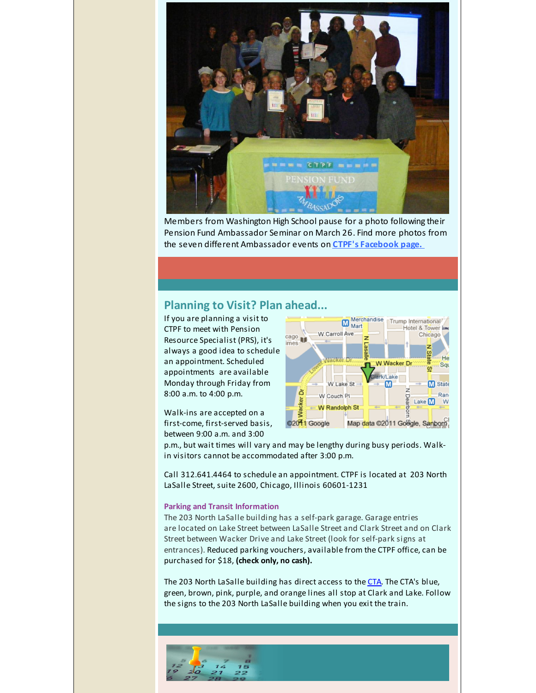

Members from Washington High School pause for a photo following their Pension Fund Ambassador Seminar on March 26. Find more photos from the seven different Ambassador events on **CTPF's [Facebook](http://r20.rs6.net/tn.jsp?f=001oHUNPV8vNQNIoC76hO23FT0ybOZkkDQIJVatSTNMuOJeN2K_GW_SoI89jSf0ZxcIX8TwK5-xAGySIMpSMnjGMawiXEEjiU4oPWy-9h4txmxUdAHgoj_crJ9p72ZgDcVo8ahgA8VBaupJ5H2U6OSL0Kl6WjcQpGaWrGmiKNvv5gqEPsHSR9dvWfZtKCHX4_sDqGBKhuPv0q669n1JHMN9_F8LjngNblxr8J_tEyVG3IDuWXENovzAMA==&c=&ch=) page.**

# **Planning to Visit? Plan ahead...**

If you are planning a visit to CTPF to meet with Pension Resource Specialist (PRS), it's always a good idea to schedule an appointment. Scheduled appointments are available Monday through Friday from 8:00 a.m. to 4:00 p.m.

Walk-ins are accepted on a first-come, first-served basis, between 9:00 a.m. and 3:00



p.m., but wait times will vary and may be lengthy during busy periods. Walkin visitors cannot be accommodated after 3:00 p.m.

Call 312.641.4464 to schedule an appointment. CTPF is located at 203 North LaSalle Street, suite 2600, Chicago, Illinois 60601-1231

#### **Parking and Transit Information**

The 203 North LaSalle building has a self-park garage. Garage entries are located on Lake Street between LaSalle Street and Clark Street and on Clark Street between Wacker Drive and Lake Street (look for self-park signs at entrances). Reduced parking vouchers, available from the CTPF office, can be purchased for \$18, **(check only, no cash).**

The 203 North LaSalle building has direct access to the [CTA](http://r20.rs6.net/tn.jsp?f=001oHUNPV8vNQNIoC76hO23FT0ybOZkkDQIJVatSTNMuOJeN2K_GW_SoBKqI_yDyvzJeq6KAYk0dNL9wIJEUDlpAPKZVCAxwO8wtTCzvBix_HzSZuwXzppiHJjvv3Ip8ecx9HQHJMxVsjUTWM1SoFr2rS5JScCM6mWUCYVkirPU6B-Hz6bXcUHvSfGA7W-dVblh63Hv-aW52TH-vjpvG35lXXMZsyNGgTRwSsULr2AcyJo=&c=&ch=). The CTA's blue, green, brown, pink, purple, and orange lines all stop at Clark and Lake. Follow the signs to the 203 North LaSalle building when you exit the train.

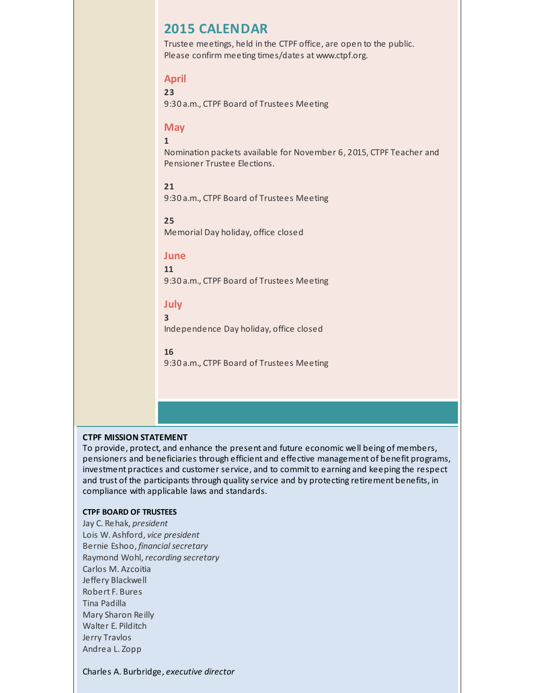# <span id="page-7-0"></span>**2015 CALENDAR**

Trustee meetings, held in the CTPF office, are open to the public. Please confirm meeting times/dates at www.ctpf.org.

#### **April**

**23**

9:30 a.m., CTPF Board of Trustees Meeting

#### **May**

**1**

Nomination packets available for November 6, 2015, CTPF Teacher and Pensioner Trustee Elections.

#### **21**

9:30 a.m., CTPF Board of Trustees Meeting

#### **25**

Memorial Day holiday, office closed

#### **June**

**11** 9:30 a.m., CTPF Board of Trustees Meeting

#### **July**

Independence Day holiday, office closed

#### **16**

**3**

9:30 a.m., CTPF Board of Trustees Meeting

#### **CTPF MISSION STATEMENT**

To provide, protect, and enhance the present and future economic well being of members, pensioners and beneficiaries through efficient and effective management of benefit programs, investment practices and customer service, and to commit to earning and keeping the respect and trust of the participants through quality service and by protecting retirement benefits, in compliance with applicable laws and standards.

#### **CTPF BOARD OF TRUSTEES**

Jay C. Rehak, *president* Lois W. Ashford, *vice president* Bernie Eshoo, *financial secretary* Raymond Wohl, *recording secretary* Carlos M. Azcoitia Jeffery Blackwell Robert F. Bures Tina Padilla Mary Sharon Reilly Walter E. Pilditch Jerry Travlos Andrea L. Zopp

Charles A. Burbridge, *executive director*